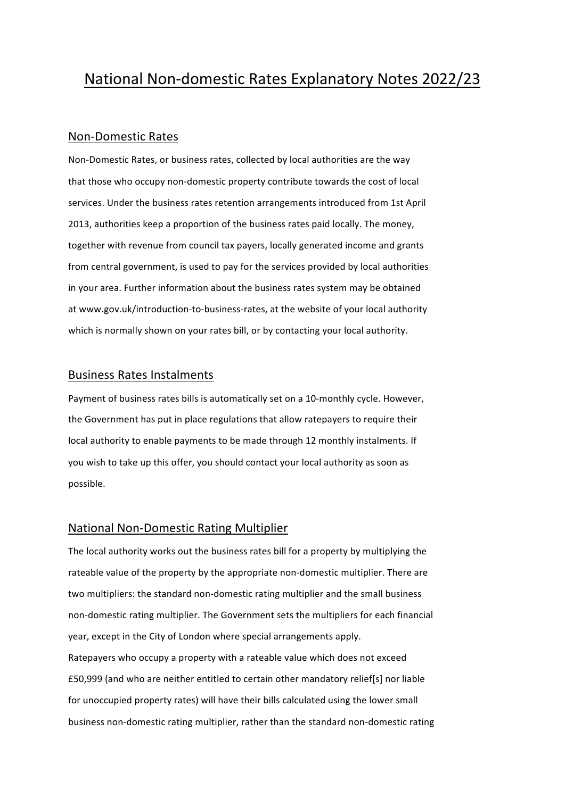# National Non-domestic Rates Explanatory Notes 2022/23

## Non-Domestic Rates

Non-Domestic Rates, or business rates, collected by local authorities are the way that those who occupy non-domestic property contribute towards the cost of local services. Under the business rates retention arrangements introduced from 1st April 2013, authorities keep a proportion of the business rates paid locally. The money, together with revenue from council tax payers, locally generated income and grants from central government, is used to pay for the services provided by local authorities in your area. Further information about the business rates system may be obtained at www.gov.uk/introduction-to-business-rates, at the website of your local authority which is normally shown on your rates bill, or by contacting your local authority.

#### **Business Rates Instalments**

Payment of business rates bills is automatically set on a 10-monthly cycle. However, the Government has put in place regulations that allow ratepayers to require their local authority to enable payments to be made through 12 monthly instalments. If you wish to take up this offer, you should contact your local authority as soon as possible.

## National Non-Domestic Rating Multiplier

The local authority works out the business rates bill for a property by multiplying the rateable value of the property by the appropriate non-domestic multiplier. There are two multipliers: the standard non-domestic rating multiplier and the small business non-domestic rating multiplier. The Government sets the multipliers for each financial year, except in the City of London where special arrangements apply. Ratepayers who occupy a property with a rateable value which does not exceed £50,999 (and who are neither entitled to certain other mandatory relief[s] nor liable for unoccupied property rates) will have their bills calculated using the lower small business non-domestic rating multiplier, rather than the standard non-domestic rating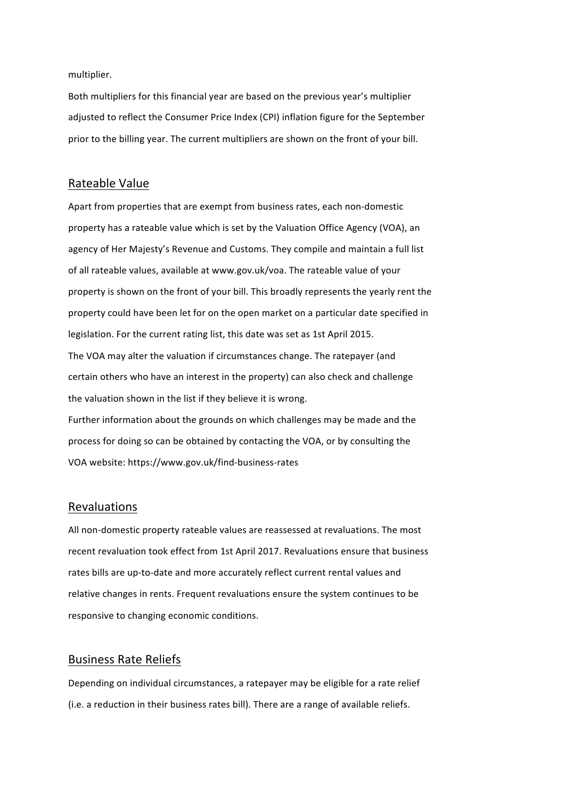multiplier.

Both multipliers for this financial year are based on the previous year's multiplier adjusted to reflect the Consumer Price Index (CPI) inflation figure for the September prior to the billing year. The current multipliers are shown on the front of your bill.

## Rateable Value

Apart from properties that are exempt from business rates, each non-domestic property has a rateable value which is set by the Valuation Office Agency (VOA), an agency of Her Majesty's Revenue and Customs. They compile and maintain a full list of all rateable values, available at www.gov.uk/voa. The rateable value of your property is shown on the front of your bill. This broadly represents the yearly rent the property could have been let for on the open market on a particular date specified in legislation. For the current rating list, this date was set as 1st April 2015. The VOA may alter the valuation if circumstances change. The ratepayer (and certain others who have an interest in the property) can also check and challenge the valuation shown in the list if they believe it is wrong. Further information about the grounds on which challenges may be made and the process for doing so can be obtained by contacting the VOA, or by consulting the VOA website: https://www.gov.uk/find-business-rates

## Revaluations

All non-domestic property rateable values are reassessed at revaluations. The most recent revaluation took effect from 1st April 2017. Revaluations ensure that business rates bills are up-to-date and more accurately reflect current rental values and relative changes in rents. Frequent revaluations ensure the system continues to be responsive to changing economic conditions.

## Business Rate Reliefs

Depending on individual circumstances, a ratepayer may be eligible for a rate relief (i.e. a reduction in their business rates bill). There are a range of available reliefs.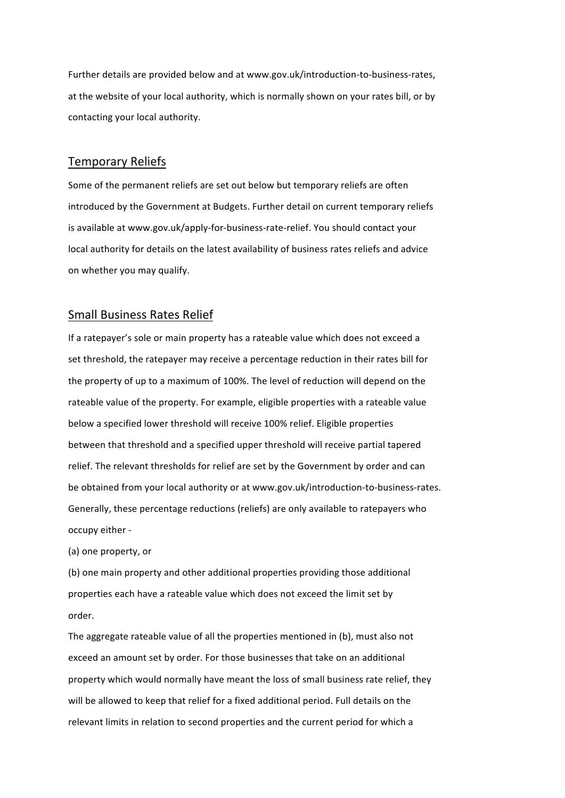Further details are provided below and at www.gov.uk/introduction-to-business-rates, at the website of your local authority, which is normally shown on your rates bill, or by contacting your local authority.

#### Temporary Reliefs

Some of the permanent reliefs are set out below but temporary reliefs are often introduced by the Government at Budgets. Further detail on current temporary reliefs is available at www.gov.uk/apply-for-business-rate-relief. You should contact your local authority for details on the latest availability of business rates reliefs and advice on whether you may qualify.

#### Small Business Rates Relief

If a ratepayer's sole or main property has a rateable value which does not exceed a set threshold, the ratepayer may receive a percentage reduction in their rates bill for the property of up to a maximum of 100%. The level of reduction will depend on the rateable value of the property. For example, eligible properties with a rateable value below a specified lower threshold will receive 100% relief. Eligible properties between that threshold and a specified upper threshold will receive partial tapered relief. The relevant thresholds for relief are set by the Government by order and can be obtained from your local authority or at www.gov.uk/introduction-to-business-rates. Generally, these percentage reductions (reliefs) are only available to ratepayers who occupy either -

(a) one property, or

(b) one main property and other additional properties providing those additional properties each have a rateable value which does not exceed the limit set by order.

The aggregate rateable value of all the properties mentioned in (b), must also not exceed an amount set by order. For those businesses that take on an additional property which would normally have meant the loss of small business rate relief, they will be allowed to keep that relief for a fixed additional period. Full details on the relevant limits in relation to second properties and the current period for which a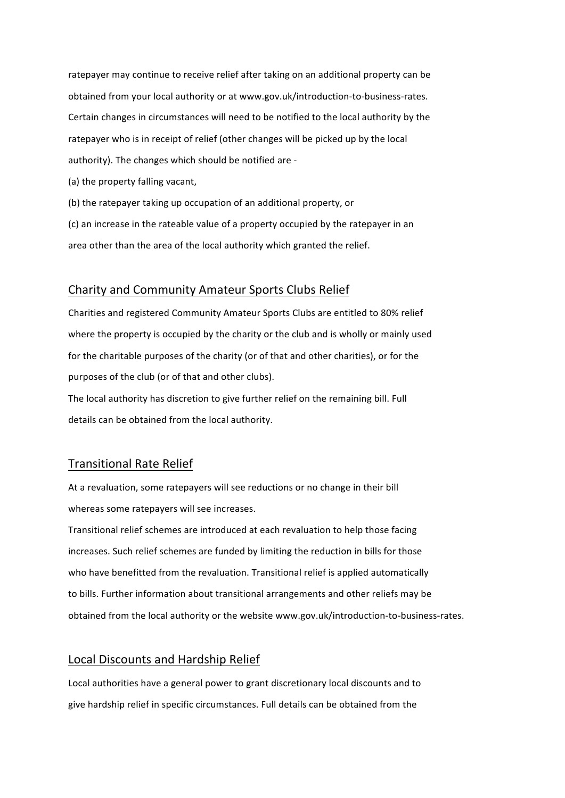ratepayer may continue to receive relief after taking on an additional property can be obtained from your local authority or at www.gov.uk/introduction-to-business-rates. Certain changes in circumstances will need to be notified to the local authority by the ratepayer who is in receipt of relief (other changes will be picked up by the local authority). The changes which should be notified are -

(a) the property falling vacant,

(b) the ratepayer taking up occupation of an additional property, or

(c) an increase in the rateable value of a property occupied by the ratepayer in an area other than the area of the local authority which granted the relief.

## Charity and Community Amateur Sports Clubs Relief

Charities and registered Community Amateur Sports Clubs are entitled to 80% relief where the property is occupied by the charity or the club and is wholly or mainly used for the charitable purposes of the charity (or of that and other charities), or for the purposes of the club (or of that and other clubs).

The local authority has discretion to give further relief on the remaining bill. Full details can be obtained from the local authority.

## **Transitional Rate Relief**

At a revaluation, some ratepayers will see reductions or no change in their bill whereas some ratepayers will see increases.

Transitional relief schemes are introduced at each revaluation to help those facing increases. Such relief schemes are funded by limiting the reduction in bills for those who have benefitted from the revaluation. Transitional relief is applied automatically to bills. Further information about transitional arrangements and other reliefs may be obtained from the local authority or the website www.gov.uk/introduction-to-business-rates.

## Local Discounts and Hardship Relief

Local authorities have a general power to grant discretionary local discounts and to give hardship relief in specific circumstances. Full details can be obtained from the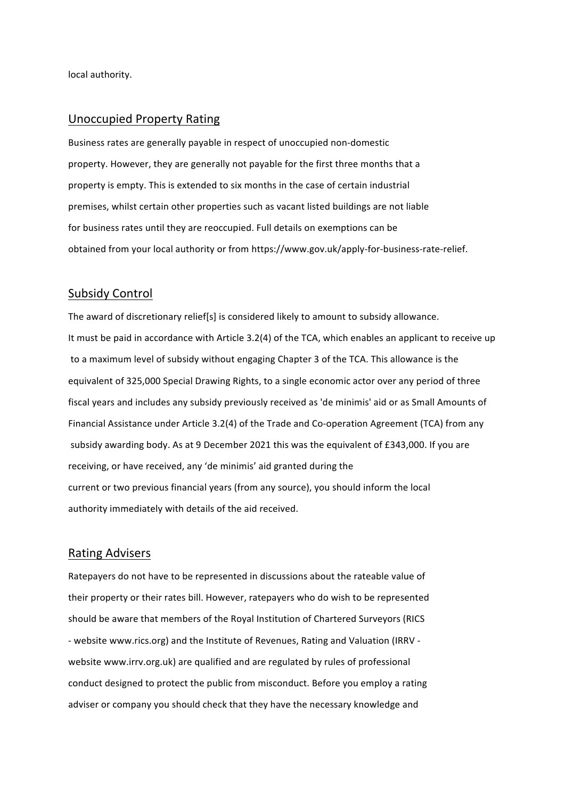local authority.

## Unoccupied Property Rating

Business rates are generally payable in respect of unoccupied non-domestic property. However, they are generally not payable for the first three months that a property is empty. This is extended to six months in the case of certain industrial premises, whilst certain other properties such as vacant listed buildings are not liable for business rates until they are reoccupied. Full details on exemptions can be obtained from your local authority or from https://www.gov.uk/apply-for-business-rate-relief.

## Subsidy Control

The award of discretionary relief[s] is considered likely to amount to subsidy allowance. It must be paid in accordance with Article 3.2(4) of the TCA, which enables an applicant to receive up to a maximum level of subsidy without engaging Chapter 3 of the TCA. This allowance is the equivalent of 325,000 Special Drawing Rights, to a single economic actor over any period of three fiscal years and includes any subsidy previously received as 'de minimis' aid or as Small Amounts of Financial Assistance under Article 3.2(4) of the Trade and Co-operation Agreement (TCA) from any subsidy awarding body. As at 9 December 2021 this was the equivalent of  $£343,000$ . If you are receiving, or have received, any 'de minimis' aid granted during the current or two previous financial years (from any source), you should inform the local authority immediately with details of the aid received.

#### Rating Advisers

Ratepayers do not have to be represented in discussions about the rateable value of their property or their rates bill. However, ratepayers who do wish to be represented should be aware that members of the Royal Institution of Chartered Surveyors (RICS - website www.rics.org) and the Institute of Revenues, Rating and Valuation (IRRV website www.irrv.org.uk) are qualified and are regulated by rules of professional conduct designed to protect the public from misconduct. Before you employ a rating adviser or company you should check that they have the necessary knowledge and